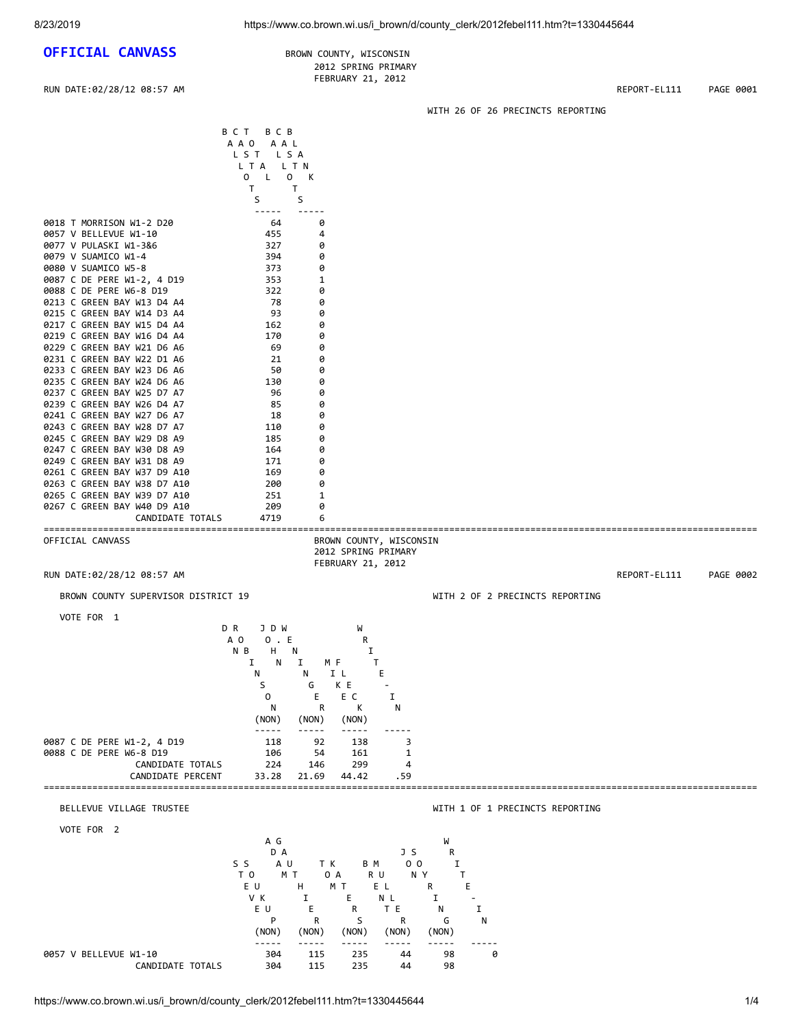## **OFFICIAL CANVASS** BROWN COUNTY, WISCONSIN

## 2012 SPRING PRIMARY FEBRUARY 21, 2012

RUN DATE:02/28/12 08:57 AM REPORT-EL111 PAGE 0001

WITH 26 OF 26 PRECINCTS REPORTING

|                                                            | BCT<br>B C B<br>AAO AAL<br>LST LSA<br>LTA LTN |                         |                      |                                 |              |           |
|------------------------------------------------------------|-----------------------------------------------|-------------------------|----------------------|---------------------------------|--------------|-----------|
|                                                            | 0 L O K<br>T<br>S                             | T.<br>S                 |                      |                                 |              |           |
| 0018 T MORRISON W1-2 D20<br>0057 V BELLEVUE W1-10          | -----<br>64<br>455                            | 0<br>4                  |                      |                                 |              |           |
| 0077 V PULASKI W1-3&6<br>0079 V SUAMICO W1-4               | 327<br>394                                    | 0<br>0                  |                      |                                 |              |           |
| 0080 V SUAMICO W5-8<br>0087 C DE PERE W1-2, 4 D19          | 373<br>353                                    | 0<br>1                  |                      |                                 |              |           |
| 0088 C DE PERE W6-8 D19                                    | 322                                           | 0                       |                      |                                 |              |           |
| 0213 C GREEN BAY W13 D4 A4<br>0215 C GREEN BAY W14 D3 A4   | 78<br>93                                      | 0<br>0                  |                      |                                 |              |           |
| 0217 C GREEN BAY W15 D4 A4                                 | 162                                           | 0                       |                      |                                 |              |           |
| 0219 C GREEN BAY W16 D4 A4<br>0229 C GREEN BAY W21 D6 A6   | 170<br>69                                     | 0<br>0                  |                      |                                 |              |           |
| 0231 C GREEN BAY W22 D1 A6                                 | 21                                            | 0                       |                      |                                 |              |           |
| 0233 C GREEN BAY W23 D6 A6<br>0235 C GREEN BAY W24 D6 A6   | 50<br>130                                     | 0<br>0                  |                      |                                 |              |           |
| 0237 C GREEN BAY W25 D7 A7                                 | 96                                            | 0                       |                      |                                 |              |           |
| 0239 C GREEN BAY W26 D4 A7<br>0241 C GREEN BAY W27 D6 A7   | 85<br>18                                      | 0<br>0                  |                      |                                 |              |           |
| 0243 C GREEN BAY W28 D7 A7                                 | 110                                           | 0                       |                      |                                 |              |           |
| 0245 C GREEN BAY W29 D8 A9<br>0247 C GREEN BAY W30 D8 A9   | 185<br>164                                    | 0<br>0                  |                      |                                 |              |           |
| 0249 C GREEN BAY W31 D8 A9                                 | 171                                           | 0                       |                      |                                 |              |           |
| 0261 C GREEN BAY W37 D9 A10<br>0263 C GREEN BAY W38 D7 A10 | 169<br>200                                    | 0<br>0                  |                      |                                 |              |           |
| 0265 C GREEN BAY W39 D7 A10                                | 251                                           | 1                       |                      |                                 |              |           |
| 0267 C GREEN BAY W40 D9 A10<br>CANDIDATE TOTALS            | 209<br>4719                                   | 0<br>6                  |                      |                                 |              |           |
| OFFICIAL CANVASS                                           |                                               | BROWN COUNTY, WISCONSIN |                      |                                 |              |           |
|                                                            |                                               | 2012 SPRING PRIMARY     |                      |                                 |              |           |
| RUN DATE:02/28/12 08:57 AM                                 |                                               | FEBRUARY 21, 2012       |                      |                                 | REPORT-EL111 | PAGE 0002 |
| BROWN COUNTY SUPERVISOR DISTRICT 19                        |                                               |                         |                      | WITH 2 OF 2 PRECINCTS REPORTING |              |           |
|                                                            |                                               |                         |                      |                                 |              |           |
| VOTE FOR 1                                                 | D R<br>J D W                                  | W                       |                      |                                 |              |           |
|                                                            | A O<br>$0$ . E                                | R                       |                      |                                 |              |           |
|                                                            | $H$ N<br>N B<br>N<br>I                        | Ι.<br>Ι.<br>M F         | T                    |                                 |              |           |
|                                                            | N                                             | I L<br>N                | Ε                    |                                 |              |           |
|                                                            | S<br>$\Omega$                                 | K E<br>G<br>E<br>E C    | $\sim$<br>Ι.         |                                 |              |           |
|                                                            | Ν                                             | К<br>R                  | N                    |                                 |              |           |
|                                                            | (NON)<br>-----                                | (NON)<br>(NON)          |                      |                                 |              |           |
| 0087 C DE PERE W1-2, 4 D19                                 | 118                                           | 92<br>138               | 3                    |                                 |              |           |
| 0088 C DE PERE W6-8 D19<br>CANDIDATE TOTALS                | 106<br>224                                    | 161<br>54<br>299<br>146 | 1<br>4               |                                 |              |           |
| CANDIDATE PERCENT                                          | 33.28                                         | 21.69<br>44.42          | . 59                 |                                 |              |           |
| BELLEVUE VILLAGE TRUSTEE                                   |                                               |                         |                      | WITH 1 OF 1 PRECINCTS REPORTING |              |           |
| VOTE FOR 2                                                 |                                               |                         |                      |                                 |              |           |
|                                                            | A G<br>D A                                    |                         | J S                  | W<br>R                          |              |           |
|                                                            | S S<br>A U                                    | T K<br>B M              | 0 <sub>0</sub>       | Ι.                              |              |           |
|                                                            | T O<br>EU                                     | ΜT<br>0 A<br>H<br>M T   | R U<br>N Y<br>E L    | т<br>R<br>E                     |              |           |
|                                                            | V K                                           | E.<br>Ι.                | N L                  | Ι.                              |              |           |
|                                                            | EU.<br>P                                      | Е<br>R<br>S<br>R        | T E<br>R             | I<br>N<br>N<br>G                |              |           |
|                                                            | (NON)<br>$\frac{1}{2}$                        | (NON)<br>(NON)<br>----- | (NON)<br>$- - - - -$ | (NON)<br>-----<br>-----         |              |           |

CANDIDATE TOTALS

0057 V BELLEVUE W1-10 304 115 235 44 98 0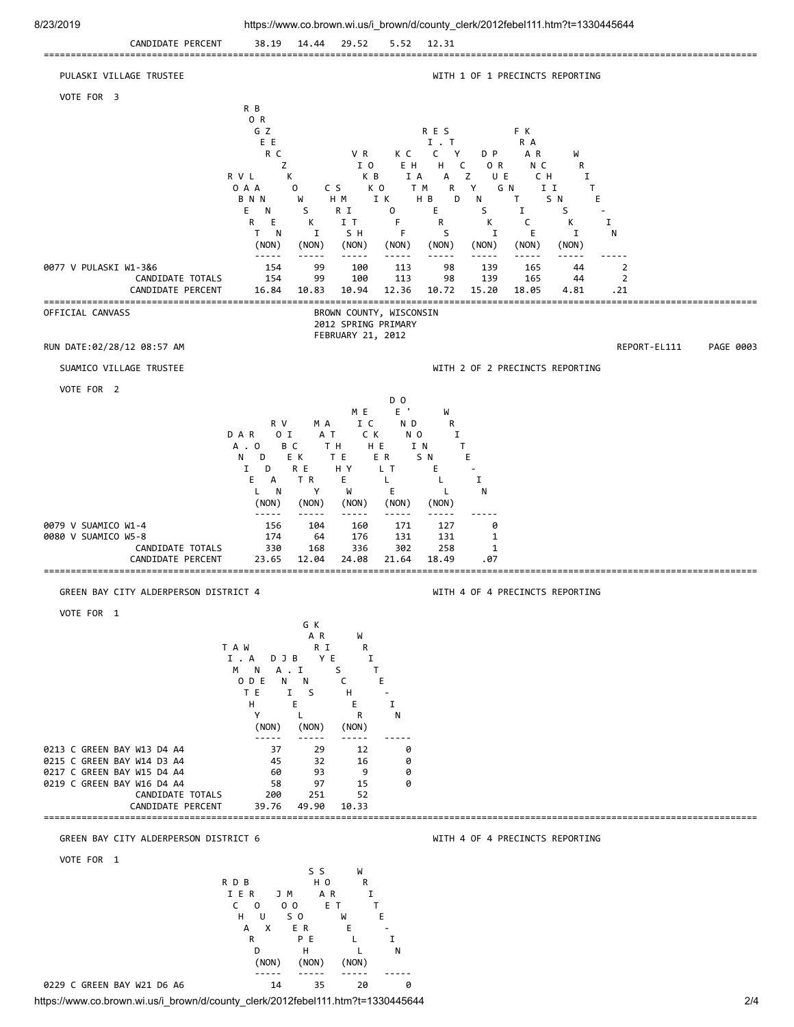

https://www.co.brown.wi.us/i\_brown/d/county\_clerk/2012febel111.htm?t=1330445644 2012 0229 C GREEN BAY W21 D6 A6 14 35 20 0

 (NON) (NON) (NON) ----- ----- ----- -----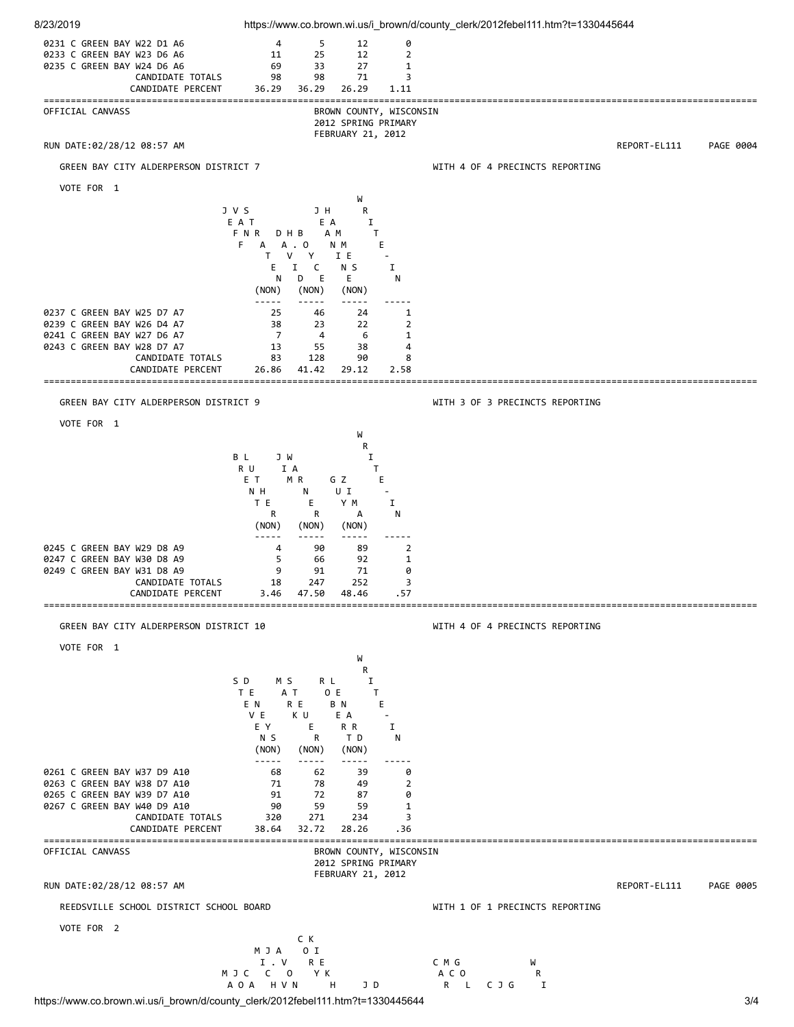